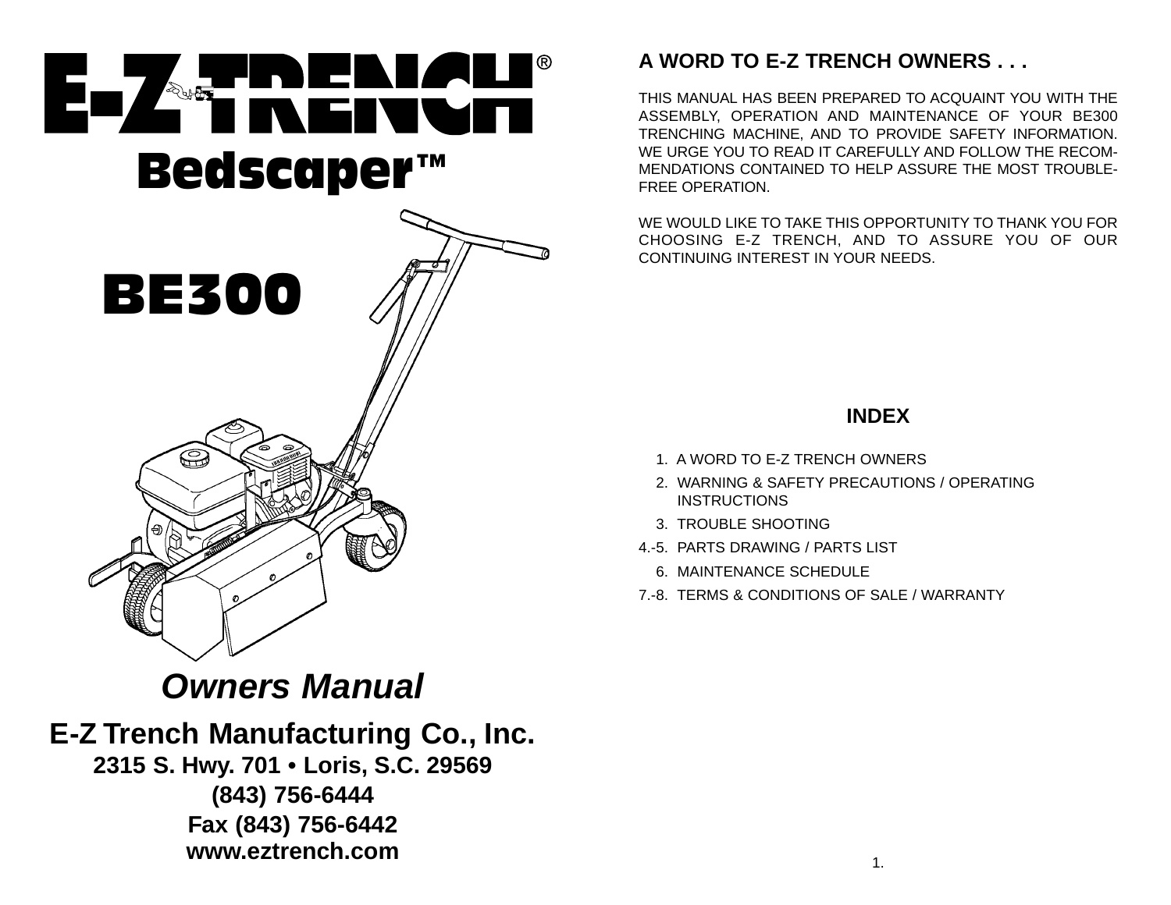

## **Owners Manual**

**E-Z Trench Manufacturing Co., Inc. 2315 S. Hwy. 701 • Loris, S.C. 29569 (843) 756-6444 Fax (843) 756-6442 www.eztrench.com**

## **A WORD TO E-Z TRENCH OWNERS . . .**

THIS MANUAL HAS BEEN PREPARED TO ACQUAINT YOU WITH THEASSEMBLY, OPERATION AND MAINTENANCE OF YOUR BE300 TRENCHING MACHINE, AND TO PROVIDE SAFETY INFORMATION. WE URGE YOU TO READ IT CAREFULLY AND FOLLOW THE RECOM-MENDATIONS CONTAINED TO HELP ASSURE THE MOST TROUBLE-FREE OPERATION.

WE WOULD LIKE TO TAKE THIS OPPORTUNITY TO THANK YOU FORCHOOSING E-Z TRENCH, AND TO ASSURE YOU OF OUR CONTINUING INTEREST IN YOUR NEEDS.

## **INDEX**

- 1. A WORD TO E-Z TRENCH OWNERS
- 2. WARNING & SAFETY PRECAUTIONS / OPERATING INSTRUCTIONS
- 3. TROUBLE SHOOTING
- 4.-5. PARTS DRAWING / PARTS LIST
	- 6. MAINTENANCE SCHEDULE
- 7.-8. TERMS & CONDITIONS OF SALE / WARRANTY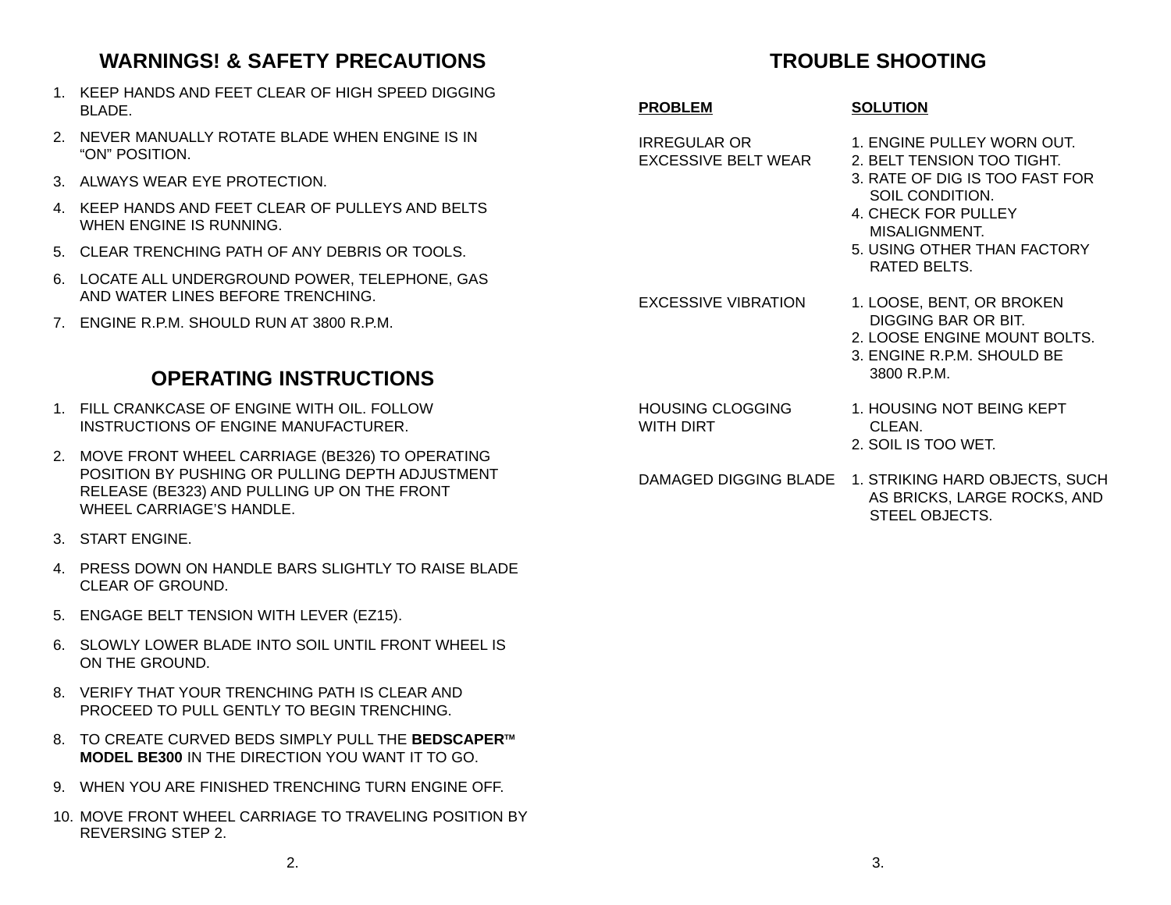## **WARNINGS! & SAFETY PRECAUTIONS**

- 1. KEEP HANDS AND FEET CLEAR OF HIGH SPEED DIGGINGBLADE.
- 2. NEVER MANUALLY ROTATE BLADE WHEN ENGINE IS IN"ON" POSITION.
- 3. ALWAYS WEAR EYE PROTECTION.
- 4 KEEP HANDS AND FEET CLEAR OF PULLEYS AND BELTS WHEN ENGINE IS RUNNING.
- 5. CLEAR TRENCHING PATH OF ANY DEBRIS OR TOOLS.
- 6. LOCATE ALL UNDERGROUND POWER, TELEPHONE, GAS AND WATER LINES BEFORE TRENCHING.
- 7. ENGINE R.P.M. SHOULD RUN AT 3800 R.P.M.

## **OPERATING INSTRUCTIONS**

- 1. FILL CRANKCASE OF ENGINE WITH OIL. FOLLOWINSTRUCTIONS OF ENGINE MANUFACTURER.
- 2. MOVE FRONT WHEEL CARRIAGE (BE326) TO OPERATING POSITION BY PUSHING OR PULLING DEPTH ADJUSTMENTRELEASE (BE323) AND PULLING UP ON THE FRONT WHEEL CARRIAGE'S HANDLE
- 3. START ENGINE.
- 4. PRESS DOWN ON HANDLE BARS SLIGHTLY TO RAISE BLADECLEAR OF GROUND.
- 5. ENGAGE BELT TENSION WITH LEVER (EZ15).
- 6. SLOWLY LOWER BLADE INTO SOIL UNTIL FRONT WHEEL ISON THE GROUND.
- 8. VERIFY THAT YOUR TRENCHING PATH IS CLEAR ANDPROCEED TO PULL GENTLY TO BEGIN TRENCHING.
- 8. TO CREATE CURVED BEDS SIMPLY PULL THE **BEDSCAPERTM MODEL BE300** IN THE DIRECTION YOU WANT IT TO GO.
- 9. WHEN YOU ARE FINISHED TRENCHING TURN ENGINE OFF.
- 10. MOVE FRONT WHEEL CARRIAGE TO TRAVELING POSITION BYREVERSING STEP 2.

## **TROUBLE SHOOTING**

**SOLUTION**

#### **PROBLEM**

IRREGULAR OR 1. ENGINE PULLEY WORN OUT. EXCESSIVE BELT WEAR 2. BELT TENSION TOO TIGHT.

- 3. RATE OF DIG IS TOO FAST FORSOIL CONDITION.
- 4. CHECK FOR PULLEYMISALIGNMENT.
- 5. USING OTHER THAN FACTORYRATED BELTS.

EXCESSIVE VIBRATION 1. LOOSE, BENT, OR BROKEN DIGGING BAR OR BIT.

- 2. LOOSE ENGINE MOUNT BOLTS.
- 3. ENGINE R.P.M. SHOULD BE3800 R.P.M.
- WITH DIRT CLEAN.
- HOUSING CLOGGING 1. HOUSING NOT BEING KEPT
	- 2. SOIL IS TOO WET.
- DAMAGED DIGGING BLADE 1. STRIKING HARD OBJECTS, SUCH AS BRICKS, LARGE ROCKS, AND STEEL OBJECTS.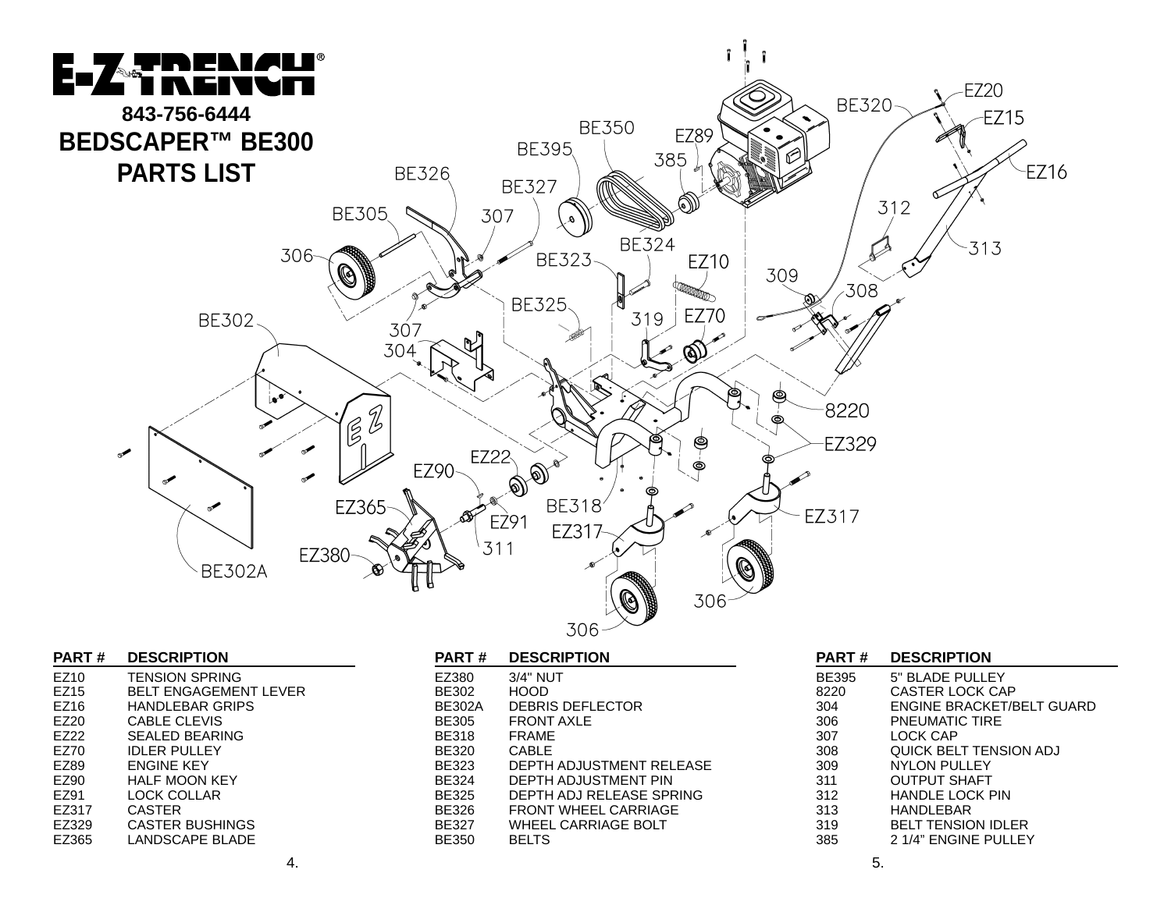

| <b>PART#</b> | <b>DESCRIPTION</b>           |
|--------------|------------------------------|
| EZ10         | <b>TENSION SPRING</b>        |
| EZ15         | <b>BELT ENGAGEMENT LEVER</b> |
| EZ16         | HANDLEBAR GRIPS              |
| EZ20         | CABLE CLEVIS                 |
| EZ22         | SEALED BEARING               |
| EZ70         | <b>IDLER PULLEY</b>          |
| EZ89         | <b>ENGINE KEY</b>            |
| EZ90         | <b>HALF MOON KEY</b>         |
| EZ91         | <b>LOCK COLLAR</b>           |
| EZ317        | CASTER                       |
| EZ329        | <b>CASTER BUSHINGS</b>       |
| EZ365        | <b>LANDSCAPE BLADE</b>       |

| <b>DESCRIPTION</b><br>PART # |  |  |  |
|------------------------------|--|--|--|
|------------------------------|--|--|--|

| EZ380  | 3/4" NUT                    |
|--------|-----------------------------|
| BE302  | <b>HOOD</b>                 |
| BE302A | <b>DEBRIS DEFLECTOR</b>     |
| BE305  | <b>FRONT AXLE</b>           |
| BE318  | <b>FRAME</b>                |
| BE320  | CABLE                       |
| BE323  | DEPTH ADJUSTMENT RELEASE    |
| BE324  | DEPTH ADJUSTMENT PIN        |
| BE325  | DEPTH ADJ RELEASE SPRING    |
| BE326  | <b>FRONT WHEEL CARRIAGE</b> |
| BE327  | WHEEL CARRIAGE BOLT         |
| BE350  | <b>BELTS</b>                |
|        |                             |

| <b>PART#</b> | <b>DESCRIPTION</b>               |
|--------------|----------------------------------|
| <b>BE395</b> | 5" BLADE PULLEY                  |
| 8220         | <b>CASTER LOCK CAP</b>           |
| 304          | <b>ENGINE BRACKET/BELT GUARD</b> |
| 306          | <b>PNEUMATIC TIRE</b>            |
| 307          | LOCK CAP                         |
| 308          | <b>QUICK BELT TENSION ADJ</b>    |
| 309          | NYLON PULLEY                     |
| 311          | OUTPUT SHAFT                     |
| 312          | <b>HANDLE LOCK PIN</b>           |
| 313          | HANDI FBAR                       |
| 319          | <b>BELT TENSION IDLER</b>        |
| 385          | 2 1/4" ENGINE PULLEY             |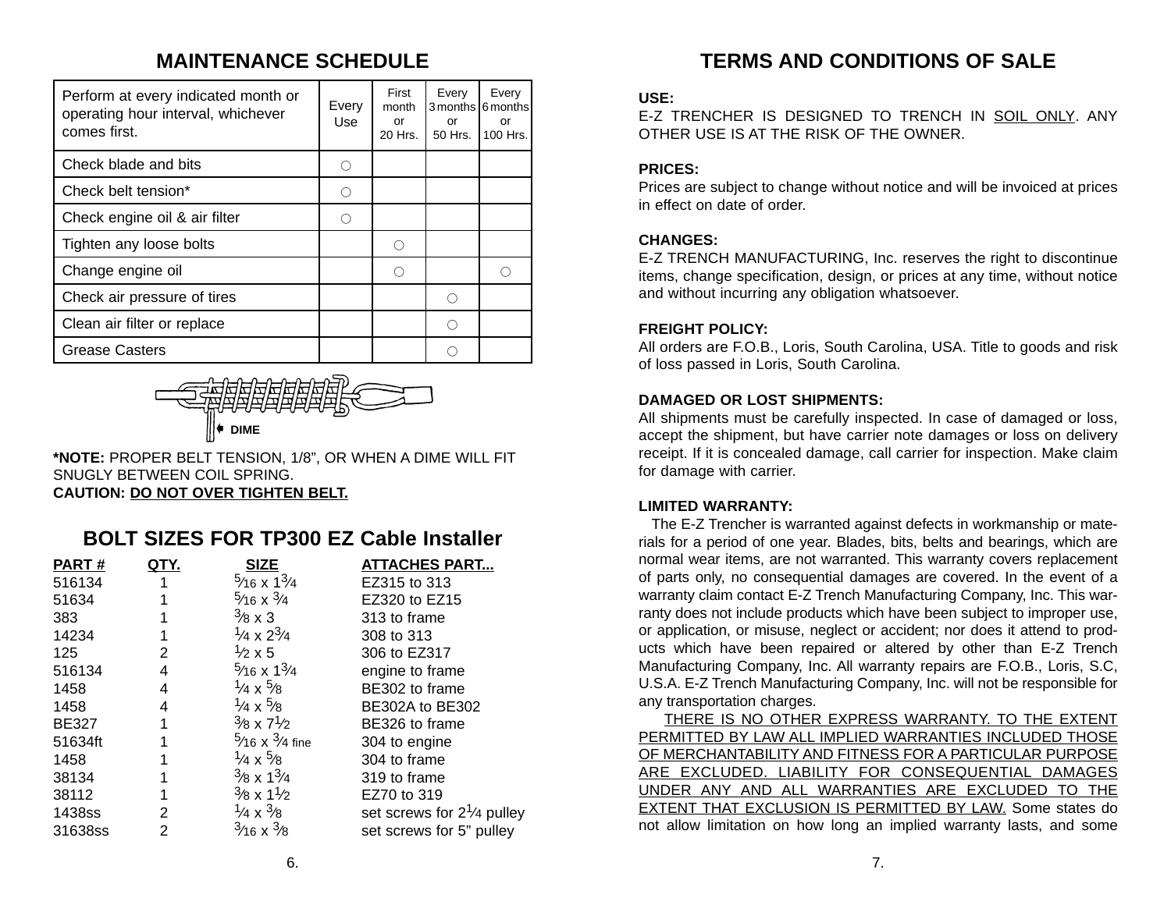## **MAINTENANCE SCHEDULE**

| Perform at every indicated month or<br>operating hour interval, whichever<br>comes first. | Every<br>Use | First<br>month<br>or<br>20 Hrs. | Every<br>or<br>50 Hrs. | Every<br>3 months 6 months<br>or<br>100 Hrs. |
|-------------------------------------------------------------------------------------------|--------------|---------------------------------|------------------------|----------------------------------------------|
| Check blade and bits                                                                      |              |                                 |                        |                                              |
| Check belt tension*                                                                       | ∩            |                                 |                        |                                              |
| Check engine oil & air filter                                                             |              |                                 |                        |                                              |
| Tighten any loose bolts                                                                   |              | ∩                               |                        |                                              |
| Change engine oil                                                                         |              |                                 |                        | ∩                                            |
| Check air pressure of tires                                                               |              |                                 | ( )                    |                                              |
| Clean air filter or replace                                                               |              |                                 |                        |                                              |
| <b>Grease Casters</b>                                                                     |              |                                 |                        |                                              |

# ➧**DIME**

**\*NOTE:** PROPER BELT TENSION, 1/8", OR WHEN A DIME WILL FIT SNUGLY BETWEEN COIL SPRING. **CAUTION: DO NOT OVER TIGHTEN BELT.**

## **BOLT SIZES FOR TP300 EZ Cable Installer**

| <b>PART#</b> | QTY. | <b>SIZE</b>                         | <b>ATTACHES PART</b>                 |
|--------------|------|-------------------------------------|--------------------------------------|
| 516134       |      | $\frac{5}{16}$ x $\frac{13}{4}$     | EZ315 to 313                         |
| 51634        |      | $\frac{5}{16}$ x $\frac{3}{4}$      | EZ320 to EZ15                        |
| 383          |      | $\frac{3}{8} \times 3$              | 313 to frame                         |
| 14234        |      | $\frac{1}{4} \times 2\frac{3}{4}$   | 308 to 313                           |
| 125          | 2    | $\frac{1}{2} \times 5$              | 306 to EZ317                         |
| 516134       | 4    | $\frac{5}{16}$ x $\frac{13}{4}$     | engine to frame                      |
| 1458         | 4    | $\frac{1}{4} \times \frac{5}{8}$    | BE302 to frame                       |
| 1458         | 4    | $\frac{1}{4} \times \frac{5}{8}$    | <b>BE302A to BE302</b>               |
| <b>BE327</b> |      | $^{3}/8 \times 7^{1}/2$             | BE326 to frame                       |
| 51634ft      |      | $\frac{5}{16}$ x $\frac{3}{4}$ fine | 304 to engine                        |
| 1458         |      | $\frac{1}{4} \times \frac{5}{8}$    | 304 to frame                         |
| 38134        |      | $\frac{3}{8}$ x $\frac{13}{4}$      | 319 to frame                         |
| 38112        | 1    | $\frac{3}{8}$ x 1 $\frac{1}{2}$     | EZ70 to 319                          |
| 1438ss       | 2    | $\frac{1}{4} \times \frac{3}{8}$    | set screws for $2\frac{1}{4}$ pulley |
| 31638ss      | 2    | $\frac{3}{16}$ x $\frac{3}{8}$      | set screws for 5" pulley             |

## **TERMS AND CONDITIONS OF SALE**

#### **USE:**

E-Z TRENCHER IS DESIGNED TO TRENCH IN SOIL ONLY. ANYOTHER USE IS AT THE RISK OF THE OWNER.

#### **PRICES:**

Prices are subject to change without notice and will be invoiced at prices in effect on date of order.

#### **CHANGES:**

E-Z TRENCH MANUFACTURING, Inc. reserves the right to discontinue items, change specification, design, or prices at any time, without notice and without incurring any obligation whatsoever.

#### **FREIGHT POLICY:**

All orders are F.O.B., Loris, South Carolina, USA. Title to goods and risk of loss passed in Loris, South Carolina.

#### **DAMAGED OR LOST SHIPMENTS:**

All shipments must be carefully inspected. In case of damaged or loss, accept the shipment, but have carrier note damages or loss on delivery receipt. If it is concealed damage, call carrier for inspection. Make claim for damage with carrier.

#### **LIMITED WARRANTY:**

The E-Z Trencher is warranted against defects in workmanship or materials for a period of one year. Blades, bits, belts and bearings, which are normal wear items, are not warranted. This warranty covers replacement of parts only, no consequential damages are covered. In the event of a warranty claim contact E-Z Trench Manufacturing Company, Inc. This warranty does not include products which have been subject to improper use, or application, or misuse, neglect or accident; nor does it attend to products which have been repaired or altered by other than E-Z Trench Manufacturing Company, Inc. All warranty repairs are F.O.B., Loris, S.C, U.S.A. E-Z Trench Manufacturing Company, Inc. will not be responsible for any transportation charges.

THERE IS NO OTHER EXPRESS WARRANTY. TO THE EXTENT PERMITTED BY LAW ALL IMPLIED WARRANTIES INCLUDED THOSE OF MERCHANTABILITY AND FITNESS FOR A PARTICULAR PURPOSE ARE EXCLUDED. LIABILITY FOR CONSEQUENTIAL DAMAGES UNDER ANY AND ALL WARRANTIES ARE EXCLUDED TO THE EXTENT THAT EXCLUSION IS PERMITTED BY LAW. Some states do not allow limitation on how long an implied warranty lasts, and some